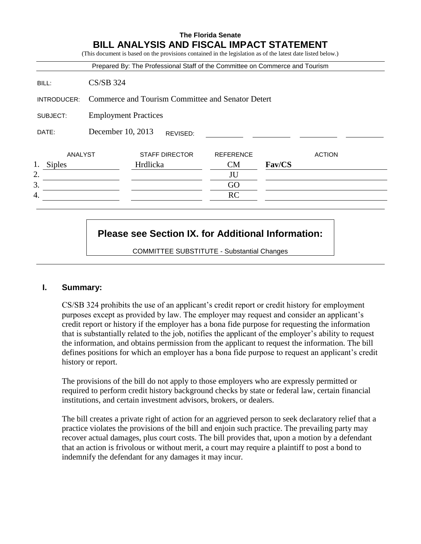# **The Florida Senate BILL ANALYSIS AND FISCAL IMPACT STATEMENT** (This document is based on the provisions contained in the legislation as of the latest date listed below.) Prepared By: The Professional Staff of the Committee on Commerce and Tourism BILL: CS/SB 324 INTRODUCER: Commerce and Tourism Committee and Senator Detert SUBJECT: Employment Practices DATE: December 10, 2013 ANALYST STAFF DIRECTOR REFERENCE ACTION 1. Siples Hrdlicka CM **Fav/CS**  $2.$  JU  $3.$  GO 4. RC REVISED:

## **Please see Section IX. for Additional Information:**

COMMITTEE SUBSTITUTE - Substantial Changes

#### **I. Summary:**

CS/SB 324 prohibits the use of an applicant's credit report or credit history for employment purposes except as provided by law. The employer may request and consider an applicant's credit report or history if the employer has a bona fide purpose for requesting the information that is substantially related to the job, notifies the applicant of the employer's ability to request the information, and obtains permission from the applicant to request the information. The bill defines positions for which an employer has a bona fide purpose to request an applicant's credit history or report.

The provisions of the bill do not apply to those employers who are expressly permitted or required to perform credit history background checks by state or federal law, certain financial institutions, and certain investment advisors, brokers, or dealers.

The bill creates a private right of action for an aggrieved person to seek declaratory relief that a practice violates the provisions of the bill and enjoin such practice. The prevailing party may recover actual damages, plus court costs. The bill provides that, upon a motion by a defendant that an action is frivolous or without merit, a court may require a plaintiff to post a bond to indemnify the defendant for any damages it may incur.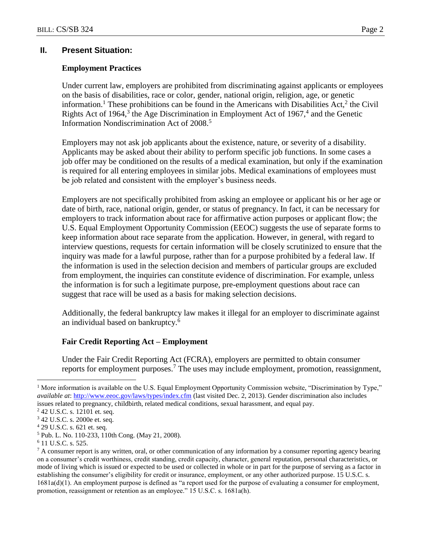### **II. Present Situation:**

### **Employment Practices**

Under current law, employers are prohibited from discriminating against applicants or employees on the basis of disabilities, race or color, gender, national origin, religion, age, or genetic information.<sup>1</sup> These prohibitions can be found in the Americans with Disabilities Act,<sup>2</sup> the Civil Rights Act of 1964, $3$  the Age Discrimination in Employment Act of 1967, $4$  and the Genetic Information Nondiscrimination Act of 2008.<sup>5</sup>

Employers may not ask job applicants about the existence, nature, or severity of a disability. Applicants may be asked about their ability to perform specific job functions. In some cases a job offer may be conditioned on the results of a medical examination, but only if the examination is required for all entering employees in similar jobs. Medical examinations of employees must be job related and consistent with the employer's business needs.

Employers are not specifically prohibited from asking an employee or applicant his or her age or date of birth, race, national origin, gender, or status of pregnancy. In fact, it can be necessary for employers to track information about race for affirmative action purposes or applicant flow; the U.S. Equal Employment Opportunity Commission (EEOC) suggests the use of separate forms to keep information about race separate from the application. However, in general, with regard to interview questions, requests for certain information will be closely scrutinized to ensure that the inquiry was made for a lawful purpose, rather than for a purpose prohibited by a federal law. If the information is used in the selection decision and members of particular groups are excluded from employment, the inquiries can constitute evidence of discrimination. For example, unless the information is for such a legitimate purpose, pre-employment questions about race can suggest that race will be used as a basis for making selection decisions.

Additionally, the federal bankruptcy law makes it illegal for an employer to discriminate against an individual based on bankruptcy.<sup>6</sup>

#### **Fair Credit Reporting Act – Employment**

Under the Fair Credit Reporting Act (FCRA), employers are permitted to obtain consumer reports for employment purposes.<sup>7</sup> The uses may include employment, promotion, reassignment,

 $\overline{a}$ 

<sup>&</sup>lt;sup>1</sup> More information is available on the U.S. Equal Employment Opportunity Commission website, "Discrimination by Type," *available at*:<http://www.eeoc.gov/laws/types/index.cfm> (last visited Dec. 2, 2013). Gender discrimination also includes issues related to pregnancy, childbirth, related medical conditions, sexual harassment, and equal pay.

<sup>2</sup> 42 U.S.C. s. 12101 et. seq.

<sup>3</sup> 42 U.S.C. s. 2000e et. seq.

<sup>4</sup> 29 U.S.C. s. 621 et. seq.

<sup>5</sup> Pub. L. No. 110-233, 110th Cong. (May 21, 2008).

<sup>6</sup> 11 U.S.C. s. 525.

 $<sup>7</sup>$  A consumer report is any written, oral, or other communication of any information by a consumer reporting agency bearing</sup> on a consumer's credit worthiness, credit standing, credit capacity, character, general reputation, personal characteristics, or mode of living which is issued or expected to be used or collected in whole or in part for the purpose of serving as a factor in establishing the consumer's eligibility for credit or insurance, employment, or any other authorized purpose. 15 U.S.C. s. 1681a(d)(1). An employment purpose is defined as "a report used for the purpose of evaluating a consumer for employment, promotion, reassignment or retention as an employee." 15 U.S.C. s. 1681a(h).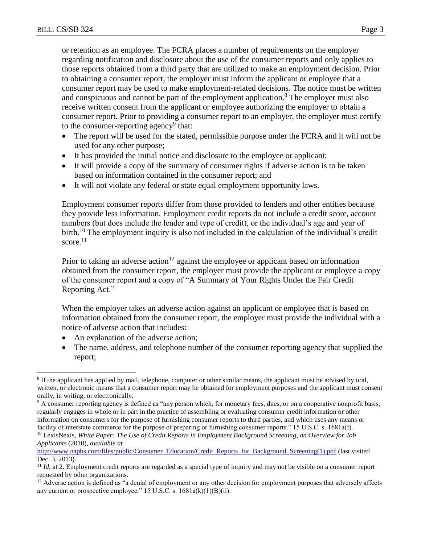or retention as an employee. The FCRA places a number of requirements on the employer regarding notification and disclosure about the use of the consumer reports and only applies to those reports obtained from a third party that are utilized to make an employment decision. Prior to obtaining a consumer report, the employer must inform the applicant or employee that a consumer report may be used to make employment-related decisions. The notice must be written and conspicuous and cannot be part of the employment application.<sup>8</sup> The employer must also receive written consent from the applicant or employee authorizing the employer to obtain a consumer report. Prior to providing a consumer report to an employer, the employer must certify to the consumer-reporting agency<sup>9</sup> that:

- The report will be used for the stated, permissible purpose under the FCRA and it will not be used for any other purpose;
- It has provided the initial notice and disclosure to the employee or applicant;
- It will provide a copy of the summary of consumer rights if adverse action is to be taken based on information contained in the consumer report; and
- It will not violate any federal or state equal employment opportunity laws.

Employment consumer reports differ from those provided to lenders and other entities because they provide less information. Employment credit reports do not include a credit score, account numbers (but does include the lender and type of credit), or the individual's age and year of birth.<sup>10</sup> The employment inquiry is also not included in the calculation of the individual's credit score. $11$ 

Prior to taking an adverse action<sup>12</sup> against the employee or applicant based on information obtained from the consumer report, the employer must provide the applicant or employee a copy of the consumer report and a copy of "A Summary of Your Rights Under the Fair Credit Reporting Act."

When the employer takes an adverse action against an applicant or employee that is based on information obtained from the consumer report, the employer must provide the individual with a notice of adverse action that includes:

- An explanation of the adverse action;
- The name, address, and telephone number of the consumer reporting agency that supplied the report;

 $\overline{a}$ <sup>8</sup> If the applicant has applied by mail, telephone, computer or other similar means, the applicant must be advised by oral, written, or electronic means that a consumer report may be obtained for employment purposes and the applicant must consent orally, in writing, or electronically.

<sup>9</sup> A consumer reporting agency is defined as "any person which, for monetary fees, dues, or on a cooperative nonprofit basis, regularly engages in whole or in part in the practice of assembling or evaluating consumer credit information or other information on consumers for the purpose of furnishing consumer reports to third parties, and which uses any means or facility of interstate commerce for the purpose of preparing or furnishing consumer reports." 15 U.S.C. s. 1681a(f).

<sup>10</sup> LexisNexis, *White Paper: The Use of Credit Reports in Employment Background Screening, an Overview for Job Applicants* (2010), *available at*

[http://www.napbs.com/files/public/Consumer\\_Education/Credit\\_Reports\\_for\\_Background\\_Screening\(1\).pdf](http://www.napbs.com/files/public/Consumer_Education/Credit_Reports_for_Background_Screening(1).pdf) (last visited Dec. 3, 2013).

<sup>&</sup>lt;sup>11</sup> *Id.* at 2. Employment credit reports are regarded as a special type of inquiry and may not be visible on a consumer report requested by other organizations.

 $12$  Adverse action is defined as "a denial of employment or any other decision for employment purposes that adversely affects any current or prospective employee." 15 U.S.C. s. 1681a(k)(1)(B)(ii).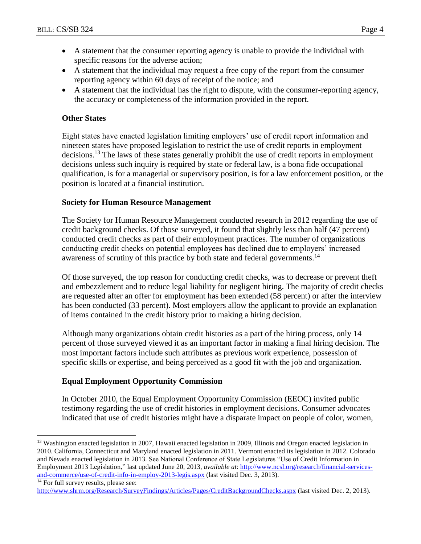- A statement that the consumer reporting agency is unable to provide the individual with specific reasons for the adverse action;
- A statement that the individual may request a free copy of the report from the consumer reporting agency within 60 days of receipt of the notice; and
- A statement that the individual has the right to dispute, with the consumer-reporting agency, the accuracy or completeness of the information provided in the report.

### **Other States**

Eight states have enacted legislation limiting employers' use of credit report information and nineteen states have proposed legislation to restrict the use of credit reports in employment decisions.<sup>13</sup> The laws of these states generally prohibit the use of credit reports in employment decisions unless such inquiry is required by state or federal law, is a bona fide occupational qualification, is for a managerial or supervisory position, is for a law enforcement position, or the position is located at a financial institution.

#### **Society for Human Resource Management**

The Society for Human Resource Management conducted research in 2012 regarding the use of credit background checks. Of those surveyed, it found that slightly less than half (47 percent) conducted credit checks as part of their employment practices. The number of organizations conducting credit checks on potential employees has declined due to employers' increased awareness of scrutiny of this practice by both state and federal governments.<sup>14</sup>

Of those surveyed, the top reason for conducting credit checks, was to decrease or prevent theft and embezzlement and to reduce legal liability for negligent hiring. The majority of credit checks are requested after an offer for employment has been extended (58 percent) or after the interview has been conducted (33 percent). Most employers allow the applicant to provide an explanation of items contained in the credit history prior to making a hiring decision.

Although many organizations obtain credit histories as a part of the hiring process, only 14 percent of those surveyed viewed it as an important factor in making a final hiring decision. The most important factors include such attributes as previous work experience, possession of specific skills or expertise, and being perceived as a good fit with the job and organization.

## **Equal Employment Opportunity Commission**

In October 2010, the Equal Employment Opportunity Commission (EEOC) invited public testimony regarding the use of credit histories in employment decisions. Consumer advocates indicated that use of credit histories might have a disparate impact on people of color, women,

 $\overline{a}$ <sup>13</sup> [Washington](http://apps.leg.wa.gov/documents/billdocs/2007-08/Pdf/Bills/Session%20Law%202007/5827-S.SL.pdf) enacted legislation in 2007, [Hawaii](http://www.capitol.hawaii.gov/session2009/Bills/HB31_CD1_.HTM) enacted legislation in 2009, [Illinois](http://www.ilga.gov/legislation/publicacts/96/PDF/096-1426.pdf) and [Oregon](http://www.leg.state.or.us/10ss1/measures/sb1000.dir/sb1045.en.html) enacted legislation in 2010. [California,](http://www.ncsl.org/issues-research/banking-insurance-financial-services/use-of-credit-information-in-employment-2011-legis.aspx#CA) [Connecticut](http://www.ncsl.org/issues-research/banking-insurance-financial-services/use-of-credit-information-in-employment-2011-legis.aspx#CT) and [Maryland](http://www.ncsl.org/issues-research/banking-insurance-financial-services/use-of-credit-information-in-employment-2011-legis.aspx#MD) enacted legislation in 2011. [Vermont](http://www.ncsl.org/issues-research/banking/use-of-credit-info-in-employ-2012-legis.aspx#VT) enacted its legislation in 2012. Colorado and Nevada enacted legislation in 2013. See National Conference of State Legislatures "Use of Credit Information in Employment 2013 Legislation," last updated June 20, 2013, *available at*: [http://www.ncsl.org/research/financial-services](http://www.ncsl.org/research/financial-services-and-commerce/use-of-credit-info-in-employ-2013-legis.aspx)[and-commerce/use-of-credit-info-in-employ-2013-legis.aspx](http://www.ncsl.org/research/financial-services-and-commerce/use-of-credit-info-in-employ-2013-legis.aspx) (last visited Dec. 3, 2013).

<sup>&</sup>lt;sup>14</sup> For full survey results, please see:

<http://www.shrm.org/Research/SurveyFindings/Articles/Pages/CreditBackgroundChecks.aspx> (last visited Dec. 2, 2013).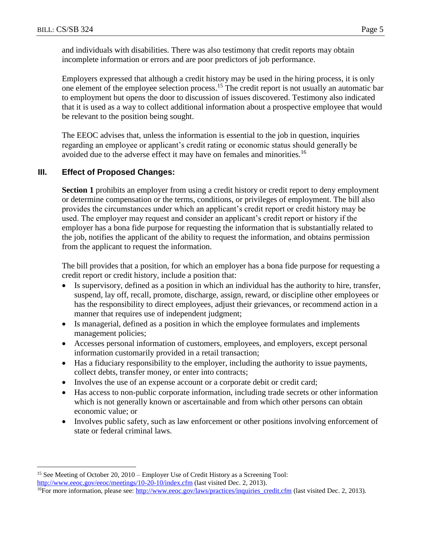and individuals with disabilities. There was also testimony that credit reports may obtain incomplete information or errors and are poor predictors of job performance.

Employers expressed that although a credit history may be used in the hiring process, it is only one element of the employee selection process.<sup>15</sup> The credit report is not usually an automatic bar to employment but opens the door to discussion of issues discovered. Testimony also indicated that it is used as a way to collect additional information about a prospective employee that would be relevant to the position being sought.

The EEOC advises that, unless the information is essential to the job in question, inquiries regarding an employee or applicant's credit rating or economic status should generally be avoided due to the adverse effect it may have on females and minorities.<sup>16</sup>

## **III. Effect of Proposed Changes:**

**Section 1** prohibits an employer from using a credit history or credit report to deny employment or determine compensation or the terms, conditions, or privileges of employment. The bill also provides the circumstances under which an applicant's credit report or credit history may be used. The employer may request and consider an applicant's credit report or history if the employer has a bona fide purpose for requesting the information that is substantially related to the job, notifies the applicant of the ability to request the information, and obtains permission from the applicant to request the information.

The bill provides that a position, for which an employer has a bona fide purpose for requesting a credit report or credit history, include a position that:

- Is supervisory, defined as a position in which an individual has the authority to hire, transfer, suspend, lay off, recall, promote, discharge, assign, reward, or discipline other employees or has the responsibility to direct employees, adjust their grievances, or recommend action in a manner that requires use of independent judgment;
- Is managerial, defined as a position in which the employee formulates and implements management policies;
- Accesses personal information of customers, employees, and employers, except personal information customarily provided in a retail transaction;
- Has a fiduciary responsibility to the employer, including the authority to issue payments, collect debts, transfer money, or enter into contracts;
- Involves the use of an expense account or a corporate debit or credit card;
- Has access to non-public corporate information, including trade secrets or other information which is not generally known or ascertainable and from which other persons can obtain economic value; or
- Involves public safety, such as law enforcement or other positions involving enforcement of state or federal criminal laws.

 $\overline{a}$ <sup>15</sup> See Meeting of October 20, 2010 – Employer Use of Credit History as a Screening Tool: <http://www.eeoc.gov/eeoc/meetings/10-20-10/index.cfm> (last visited Dec. 2, 2013).

 $\frac{16}{16}$ For more information, please see: [http://www.eeoc.gov/laws/practices/inquiries\\_credit.cfm](http://www.eeoc.gov/laws/practices/inquiries_credit.cfm) (last visited Dec. 2, 2013).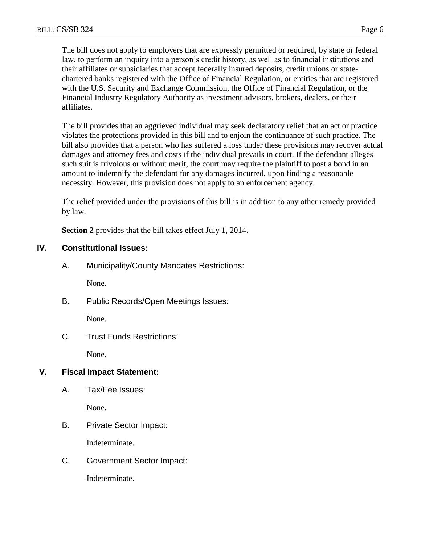The bill does not apply to employers that are expressly permitted or required, by state or federal law, to perform an inquiry into a person's credit history, as well as to financial institutions and their affiliates or subsidiaries that accept federally insured deposits, credit unions or statechartered banks registered with the Office of Financial Regulation, or entities that are registered with the U.S. Security and Exchange Commission, the Office of Financial Regulation, or the Financial Industry Regulatory Authority as investment advisors, brokers, dealers, or their affiliates.

The bill provides that an aggrieved individual may seek declaratory relief that an act or practice violates the protections provided in this bill and to enjoin the continuance of such practice. The bill also provides that a person who has suffered a loss under these provisions may recover actual damages and attorney fees and costs if the individual prevails in court. If the defendant alleges such suit is frivolous or without merit, the court may require the plaintiff to post a bond in an amount to indemnify the defendant for any damages incurred, upon finding a reasonable necessity. However, this provision does not apply to an enforcement agency.

The relief provided under the provisions of this bill is in addition to any other remedy provided by law.

**Section 2** provides that the bill takes effect July 1, 2014.

## **IV. Constitutional Issues:**

A. Municipality/County Mandates Restrictions:

None.

B. Public Records/Open Meetings Issues:

None.

C. Trust Funds Restrictions:

None.

## **V. Fiscal Impact Statement:**

A. Tax/Fee Issues:

None.

B. Private Sector Impact:

Indeterminate.

C. Government Sector Impact:

Indeterminate.